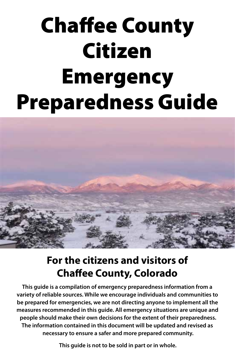# Chaffee County Citizen Emergency Preparedness Guide



# **For the citizens and visitors of Chaffee County, Colorado**

**This guide is a compilation of emergency preparedness information from a variety of reliable sources. While we encourage individuals and communities to be prepared for emergencies, we are not directing anyone to implement all the measures recommended in this guide. All emergency situations are unique and people should make their own decisions for the extent of their preparedness. The information contained in this document will be updated and revised as necessary to ensure a safer and more prepared community.** 

**This guide is not to be sold in part or in whole.**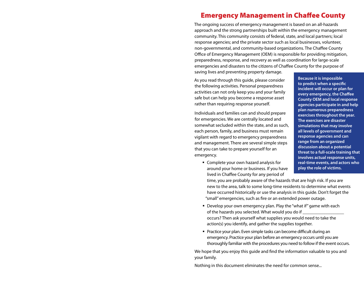## Emergency Management in Chaffee County

The ongoing success of emergency management is based on an all-hazards approach and the strong partnerships built within the emergency management community. This community consists of federal, state, and local partners; local response agencies; and the private sector such as local businesses, volunteer, non‑governmental, and community-based organizations. The Chaffee County Office of Emergency Management (OEM) is responsible for providing mitigation, preparedness, response, and recovery as well as coordination for large-scale emergencies and disasters to the citizens of Chaffee County for the purpose of saving lives and preventing property damage.

As you read through this guide, please consider the following activities. Personal preparedness activities can not only keep you and your family safe but can help you become a response asset

rather than requiring response yourself.

Individuals and families can and should prepare for emergencies. We are centrally located and somewhat secluded within the state, and as such, each person, family, and business must remain vigilant with regard to emergency preparedness and management. There are several simple steps that you can take to prepare yourself for an emergency.

 Complete your own hazard analysis for around your home or business. If you have lived in Chaffee County for any period of

**Because it is impossible to predict when a specific incident will occur or plan for every emergency, the Chaffee County OEM and local response agencies participate in and help plan numerous preparedness exercises throughout the year. The exercises are disaster simulations that may involve all levels of government and response agencies and can range from an organized discussion about a potential threat to a full-scale training that involves actual response units, real-time events, and actors who play the role of victims.** 

time, you are probably aware of the hazards that are high risk. If you are new to the area, talk to some long-time residents to determine what events have occurred historically or use the analysis in this guide. Don't forget the "small" emergencies, such as fire or an extended power outage.

- Develop your own emergency plan. Play the "what if" game with each of the hazards you selected. What would you do if occurs? Then ask yourself what supplies you would need to take the action(s) you identify, and gather the supplies together.
- **Practice your plan. Even simple tasks can become difficult during an** emergency. Practice your plan before an emergency occurs until you are thoroughly familiar with the procedures you need to follow if the event occurs.

We hope that you enjoy this guide and find the information valuable to you and your family.

Nothing in this document eliminates the need for common sense...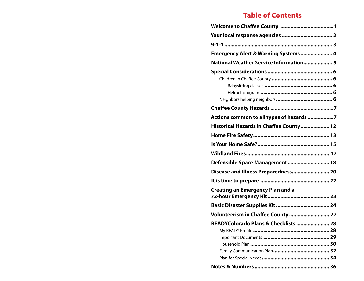## Table of Contents

| Emergency Alert & Warning Systems  4     |
|------------------------------------------|
| National Weather Service Information 5   |
|                                          |
|                                          |
|                                          |
| Actions common to all types of hazards 7 |
| Historical Hazards in Chaffee County 12  |
|                                          |
|                                          |
|                                          |
| Defensible Space Management 18           |
| Disease and Illness Preparedness 20      |
|                                          |
| <b>Creating an Emergency Plan and a</b>  |
|                                          |
| Volunteerism in Chaffee County  27       |
| READYColorado Plans & Checklists  28     |
|                                          |
|                                          |
|                                          |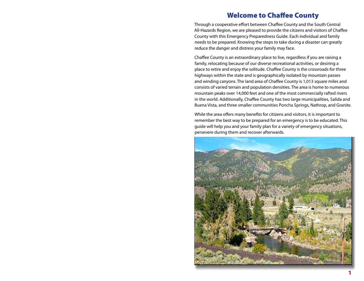## Welcome to Chaffee County

Through a cooperative effort between Chaffee County and the South Central All-Hazards Region, we are pleased to provide the citizens and visitors of Chaffee County with this Emergency Preparedness Guide. Each individual and family needs to be prepared. Knowing the steps to take during a disaster can greatly reduce the danger and distress your family may face.

Chaffee County is an extraordinary place to live, regardless if you are raising a family, relocating because of our diverse recreational activities, or desiring a place to retire and enjoy the solitude. Chaffee County is the crossroads for three highways within the state and is geographically isolated by mountain passes and winding canyons. The land area of Chaffee County is 1,013 square miles and consists of varied terrain and population densities. The area is home to numerous mountain peaks over 14,000 feet and one of the most commercially rafted rivers in the world. Additionally, Chaffee County has two large municipalities, Salida and Buena Vista, and three smaller communities Poncha Springs, Nathrop, and Granite.

While the area offers many benefits for citizens and visitors, it is important to remember the best way to be prepared for an emergency is to be educated. This guide will help you and your family plan for a variety of emergency situations, persevere during them and recover afterwards.

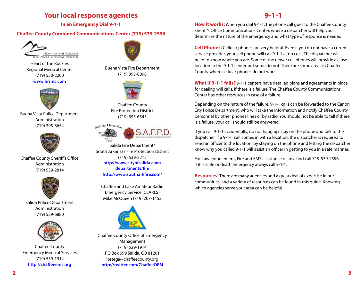## **Your local response agencies**

**In an Emergency Dial 9-1-1**

#### **Chaffee County Combined Communications Center (719) 539-2596**



Heart of the Rockies Regional Medical Center (719) 530-2200 **www.hrrmc.com**



Buena Vista Police Department Administration (719) 395-8654



Chaffee County Sheriff's Office Administration (719) 539-2814



Salida Police Department Administration (719) 539-6880



Chaffee County Emergency Medical Services (719) 539-1914 **http://chaffeeems.org**



Buena Vista Fire Department (719) 395-8098



Chaffee County Fire Protection District (719) 395-6545



Salida Fire Department/ South Arkansas Fire Protection District (719) 539-2212 **http://www.cityofsalida.com/ departments/fire http://www.southarkfire.com/**

Chaffee and Lake Amateur Radio Emergency Service (CLARES) Mike McQueen (719) 207-1452



Chaffee County Office of Emergency Management (719) 539-1914 PO Box 699 Salida, CO 81201 lortega@chaffeecounty.org **http://twitter.com/ChaffeeOEM**

## 9-1-1

**How it works:** When you dial 9-1-1, the phone call goes to the Chaffee County Sheriff's Office Communications Center, where a dispatcher will help you determine the nature of the emergency and what type of response is needed.

**Cell Phones:** Cellular phones are very helpful. Even if you do not have a current service provider, your cell phone will call 9-1-1 at no cost. The dispatcher will need to know where you are. Some of the newer cell phones will provide a close location to the 9-1-1 center but some do not. There are some areas in Chaffee County where cellular phones do not work.

**What if 9-1-1 fails?** 9-1-1 centers have detailed plans and agreements in place for dealing will calls, if there is a failure. The Chaffee County Communications Center has other resources in case of a failure.

Depending on the nature of the failure, 9-1-1 calls can be forwarded to the Canon City Police Department, who will take the information and notify Chaffee County personnel by other phones lines or by radio. You should not be able to tell if there is a failure, your call should still be answered.

If you call 9-1-1 accidentally, do not hang up, stay on the phone and talk to the dispatcher. If a 9-1-1 call comes in with a location, the dispatcher is required to send an officer to the location, by staying on the phone and letting the dispatcher know why you called 9-1-1 will assist an officer in getting to you in a safe manner.

For Law enforcement, Fire and EMS assistance of any kind call 719-539-2596, if it is a life or death emergency always call 9-1-1.

**Resources:** There are many agencies and a great deal of expertise in our communities, and a variety of resources can be found in this guide. Knowing which agencies serve your area can be helpful.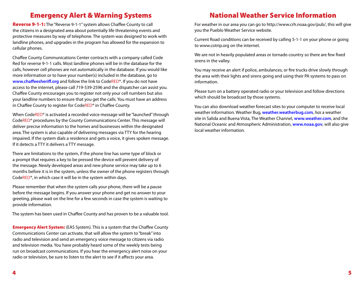## Emergency Alert & Warning Systems

Reverse 9-1-1: The "Reverse 9-1-1" system allows Chaffee County to call the citizens in a designated area about potentially life threatening events and protective measures by way of telephone. The system was designed to work with landline phones, and upgrades in the program has allowed for the expansion to cellular phones.

Chaffee County Communications Center contracts with a company called Code Red for reverse 9-1-1 calls. Most landline phones will be in the database for the calls, however cell phones are not automatically in the database. If you would like more information or to have your number(s) included in the database, go to **www.chaffeesheriff.org** and follow the link to CodeRED®. If you do not have access to the internet, please call 719-539-2596 and the dispatcher can assist you. Chaffee County encourages you to register not only your cell numbers but also your landline numbers to ensure that you get the calls. You must have an address in Chaffee County to register for CodeRED® in Chaffee County.

When CodeRED<sup>®</sup> is activated a recorded voice message will be "launched" through CodeRED® procedures by the County Communications Center. This message will deliver precise information to the homes and businesses within the designated area. The system is also capable of delivering messages via TTY for the hearing impaired. If the system dials a residence and gets a voice, it gives spoken message. If it detects a TTY it delivers a TTY message.

There are limitations to the system, if the phone line has some type of block or a prompt that requires a key to be pressed the device will prevent delivery of the message. Newly developed areas and new phone service may take up to 6 months before it is in the system, unless the owner of the phone registers through CodeRED®, in which case it will be in the system within days.

Please remember that when the system calls your phone, there will be a pause before the message begins. If you answer your phone and get no answer to your greeting, please wait on the line for a few seconds in case the system is waiting to provide information.

The system has been used in Chaffee County and has proven to be a valuable tool.

**Emergency Alert System:** (EAS System). This is a system that the Chaffee County Communications Center can activate, that will allow the system to "break" into radio and television and send an emergency voice message to citizens via radio and television media. You have probably heard some of the weekly tests being run on broadcast communications. If you hear the emergency alert noise on your radio or television, be sure to listen to the alert to see if it affects your area.

# National Weather Service Information

For weather in our area you can go to http://www.crh.noaa.gov/pub/, this will give you the Pueblo Weather Service website.

Current Road conditions can be received by calling 5-1-1 on your phone or going to www.cotrip.org on the internet.

We are not in heavily populated areas or tornado country so there are few fixed sirens in the valley.

You may receive an alert if police, ambulances, or fire trucks drive slowly through the area with their lights and sirens going and using their PA systems to pass on information.

Please turn on a battery operated radio or your television and follow directions which should be broadcast by those systems.

You can also download weather forecast sites to your computer to receive local weather information. Weather Bug, **weather.weatherbug.com***, has* a weather site in Salida and Buena Vista, The Weather Channel, **www.weather.com**, and the National Oceanic and Atmospheric Administration, **www.noaa.gov**, will also give local weather information.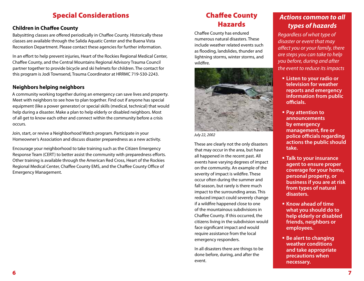# Special Considerations

## **Children in Chaffee County**

Babysitting classes are offered periodically in Chaffee County. Historically these classes are available through the Salida Aquatic Center and the Buena Vista Recreation Department. Please contact these agencies for further information.

In an effort to help prevent injuries, Heart of the Rockies Regional Medical Center, Chaffee County, and the Central Mountains Regional Advisory Trauma Council partner together to provide bicycle and ski helmets for children. The contact for this program is Jodi Townsend, Trauma Coordinator at HRRMC 719-530-2243.

#### **Neighbors helping neighbors**

A community working together during an emergency can save lives and property. Meet with neighbors to see how to plan together. Find out if anyone has special equipment (like a power generator) or special skills (medical, technical) that would help during a disaster. Make a plan to help elderly or disabled neighbors. Most of all get to know each other and connect within the community before a crisis occurs.

Join, start, or revive a Neighborhood Watch program. Participate in your Homeowner's Association and discuss disaster preparedness as a new activity.

Encourage your neighborhood to take training such as the Citizen Emergency Response Team (CERT) to better assist the community with preparedness efforts. Other training is available through the American Red Cross, Heart of the Rockies Regional Medical Center, Chaffee County EMS, and the Chaffee County Office of Emergency Management.

# Chaffee County Hazards

Chaffee County has endured numerous natural disasters. These include weather related events such as flooding, landslides, thunder and lightning storms, winter storms, and wildfire.



*July 22, 2002*

These are clearly not the only disasters that may occur in the area, but have all happened in the recent past. All events have varying degrees of impact on the community. An example of the severity of impact is wildfire. These occur often during the summer and fall season, but rarely is there much impact to the surrounding areas. This reduced impact could severely change if a wildfire happened close to one of the mountainous subdivisions in Chaffee County. If this occurred, the citizens living in the subdivision would face significant impact and would require assistance from the local emergency responders.

In all disasters there are things to be done before, during, and after the event.

## *Actions common to all types of hazards*

*Regardless of what type of disaster or event that may affect you or your family, there are steps you can take to help you before, during and after the event to reduce its impacts*

- **Listen to your radio or television for weather reports and emergency information from public officials.**
- **Pay attention to announcements by emergency management, fire or police officials regarding actions the public should take.**
- **Talk to your insurance agent to ensure proper coverage for your home, personal property, or business if you are at risk from types of natural disasters.**
- **Know ahead of time what you should do to help elderly or disabled friends, neighbors or employees.**
- **Be alert to changing weather conditions and take appropriate precautions when necessary.**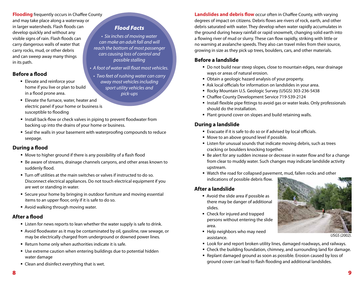**Flooding** frequently occurs in Chaffee County and may take place along a waterway or in larger watersheds. Flash floods can develop quickly and without any visible signs of rain. Flash floods can carry dangerous walls of water that carry rocks, mud, or other debris and can sweep away many things in its path.

#### **Before a flood**

- **Elevate and reinforce your** home if you live or plan to build in a flood prone area.
- **Elevate the furnace, water, heater and** electric panel if your home or business is susceptible to flooding
- **IF** Install back-flow or check valves in piping to prevent floodwater from backing up into the drains of your home or business.
- Seal the walls in your basement with waterproofing compounds to reduce seepage.

## **During a flood**

- Move to higher ground if there is any possibility of a flash flood
- Be aware of streams, drainage channels canyons, and other areas known to suddenly flood.
- Turn off utilities at the main switches or valves if instructed to do so. Disconnect electrical appliances. Do not touch electrical equipment if you are wet or standing in water.
- Secure your home by bringing in outdoor furniture and moving essential items to an upper floor, only if it is safe to do so.
- Avoid walking through moving water.

## **After a flood**

- **EXTER** Listen for news reports to lean whether the water supply is safe to drink.
- Avoid floodwater as it may be contaminated by oil, gasoline, raw sewage, or may be electrically charged from underground or downed power lines.
- Return home only when authorities indicate it is safe.
- Use extreme caution when entering buildings due to potential hidden water damage
- Clean and disinfect everything that is wet.

## *Flood Facts*

- *Six inches of moving water can make an adult fall and will reach the bottom of most passenger cars causing loss of control and possible stalling*
- *A foot of water will float most vehicles.*
	- *Two feet of rushing water can carry away most vehicles including sport utility vehicles and pick-ups*

**Landslides and debris flow** occur often in Chaffee County, with varying degrees of impact on citizens. Debris flows are rivers of rock, earth, and other debris saturated with water. They develop when water rapidly accumulates in the ground during heavy rainfall or rapid snowmelt, changing solid earth into a flowing river of mud or slurry. These can flow rapidly, striking with little or no warning at avalanche speeds. They also can travel miles from their source, growing in size as they pick up trees, boulders, cars, and other materials.

#### **Before a landslide**

- Do not build near steep slopes, close to mountain edges, near drainage ways or areas of natural erosion.
- Obtain a geologic hazard analysis of your property.
- Ask local officials for information on landslides in your area.
- Rocky Mountain U.S. Geologic Survey (USGS) 303-236-5438
- Chaffee County Development Service 719-539-2124
- **Install flexible pipe fittings to avoid gas or water leaks. Only professionals** should do the installation.
- **Plant ground cover on slopes and build retaining walls.**

## **During a landslide**

- Evacuate if it is safe to do so or if advised by local officials.
- Move to an above ground level if possible.
- Listen for unusual sounds that indicate moving debris, such as trees cracking or boulders knocking together.
- Be alert for any sudden increase or decrease in water flow and for a change from clear to muddy water. Such changes may indicate landslide activity upstream.
- Watch the road for collapsed pavement, mud, fallen rocks and other indications of possible debris flow.

## **After a landslide**

- Avoid the slide area if possible as there may be danger of additional slides.
- Check for injured and trapped persons without entering the slide area.
- Help neighbors who may need assistance.



*USGS (2002).* 

- Look for and report broken utility lines, damaged roadways, and railways.
- Check the building foundation, chimney, and surrounding land for damage.
- Replant damaged ground as soon as possible. Erosion caused by loss of ground cover can lead to flash flooding and additional landslides.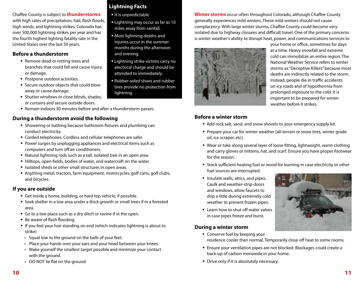Chaffee County is subject to **thunderstorms** with high rates of precipitation, hail, flash floods, high winds, and lightning strikes. Colorado has over 500,000 lightning strikes per year and has the fourth highest lighting fatality rate in the United States over the last 50 years.

#### **Before a thunderstorm**

- Remove dead or rotting trees and branches that could fall and cause injury or damage.
- **Postpone outdoor activities.**
- Secure outdoor objects that could blow away or cause damage.
- **Shutter windows or close blinds, shades,** or curtains and secure outside doors.
- Remain indoors 30 minutes before and after a thunderstorm passes.

#### **During a thunderstorm avoid the following**

- Showering or bathing because bathroom fixtures and plumbing can conduct electricity.
- Corded telephones. Cordless and cellular telephones are safer.
- Power surges by unplugging appliances and electrical items such as computers and turn off air conditioners.
- Natural lightning rods such as a tall, isolated tree in an open area.
- Hilltops, open fields, bodies of water, and watercraft on the water.
- Isolated sheds or other small structures in open areas.
- Anything metal; tractors, farm equipment, motorcycles, golf carts, golf clubs, and bicycles.

#### **If you are outside**

- Get inside a home, building, or hard top vehicle, if possible.
- Seek shelter in a low area under a thick growth or small trees if in a forested area.
- Go to a low place such as a dry ditch or ravine if in the open.
- Be aware of flash flooding.
- **If you feel your hair standing on end (which indicates lightning is about to** strike)
- Squat low to the ground on the balls of your feet.
- Place your hands over your ears and your head between your knees.
- Make yourself the smallest target possible and minimize your contact with the ground.
- DO NOT lie flat on the ground

## **Lightning Facts**

- It is unpredictable
- **Lightning may occur as far as 10** miles away from rainfall.
- Most lightning deaths and injuries occur in the summer months during the afternoon and evening.
- **Example 1** Lightning strike victims carry no electrical charge and should be attended to immediately.
- Rubber-soled shoes and rubber tires provide no protection from lightning.

**Winter storms** occur often throughout Colorado, although Chaffee County generally experiences mild winters. These mild winters should not cause complacency. With large winter storms, Chaffee County could become very isolated due to highway closures and difficult travel. One of the primary concerns is winter weather's ability to disrupt heat, power, and communications services to



your home or office, sometimes for days at a time. Heavy snowfall and extreme cold can immobilize an entire region. The National Weather Service refers to winter storms as "Deceptive Killers" because most deaths are indirectly related to the storm. Instead, people die in traffic accidents on icy roads and of hypothermia from prolonged exposure to the cold. It is important to be prepared for winter weather before it strikes.

#### **Before a winter storm**

- Add rock salt, sand, and snow shovels to your emergency supply kit.
- Prepare your car for winter weather (all-terrain or snow tires, winter grade oil, ice scraper, etc).
- Wear or take along several layer of loose fitting, lightweight, warm clothing and carry gloves or mittens, hat, and scarf. Ensure you have proper footwear for the season.
- **Stock sufficient heating fuel or wood for burning in case electricity or other** fuel sources are interrupted.
- **Insulate walls, attics, and pipes.** Caulk and weather-strip doors and windows, allow faucets to drip a little during extremely cold weather to prevent frozen pipes.
- $\blacksquare$  Learn how to shut off water valves in case pipes freeze and burst.

#### **During a winter storm**

- Conserve fuel by keeping your residence cooler than normal. Temporarily close off heat to some rooms.
- Ensure your ventilation pipes are not blocked. Blockages could create a back-up of carbon monoxide in your home.
- **Drive only if it is absolutely necessary.**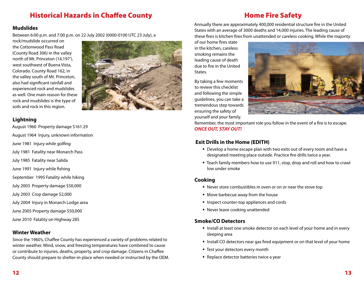# Historical Hazards in Chaffee County

# Home Fire Safety

#### **Mudslides**

Between 6:00 p.m. and 7:00 p.m. on 22 July 2002 (0000-0100 UTC 23 July), a

rock/mudslide occurred on the Cottonwood Pass Road (County Road 306) in the valley north of Mt. Princeton (14,197'), west southwest of Buena Vista, Colorado. County Road 162, in the valley south of Mt. Princeton, also had significant rainfall and experienced rock and mudslides as well. One main reason for these rock and mudslides is the type of soils and rock in this region.



August 1960 Property damage \$161.29

August 1964 Injury, unknown information

- June 1981 Injury while golfing
- July 1981 Fatality near Monarch Pass
- July 1985 Fatality near Salida
- June 1991 Injury while fishing

September 1995 Fatality while hiking

- July 2003 Property damage \$50,000
- July 2003 Crop damage \$2,000
- July 2004 Injury in Monarch Lodge area
- June 2005 Property damage \$50,000
- June 2010 Fatality on Highway 285

#### **Winter Weather**

Since the 1960's, Chaffee County has experienced a variety of problems related to winter weather. Wind, snow, and freezing temperatures have combined to cause or contribute to injuries, deaths, property, and crop damage. Citizens in Chaffee County should prepare to shelter-in-place when needed or instructed by the OEM.



Annually there are approximately 400,000 residential structure fire in the United States with an average of 3000 deaths and 14,000 injuries. The leading cause of these fires is kitchen fires from unattended or careless cooking. While the majority

of our home fires state in the kitchen, careless smoking remains the leading cause of death due to fire in the United States.

By taking a few moments to review this checklist and following the simple guidelines, you can take a tremendous step towards ensuring the safety of yourself and your family.



Remember, the most important role you follow in the event of a fire is to escape. *ONCE OUT, STAY OUT!*

## **Exit Drills in the Home (EDITH)**

- Develop a home escape plan with two exits out of every room and have a designated meeting place outside. Practice fire drills twice a year.
- Teach family members how to use 911, stop, drop and roll and how to crawl low under smoke

#### **Cooking**

- Never store combustibles in oven or on or near the stove top
- Move barbecue away from the house
- **Inspect counter-top appliances and cords**
- Never leave cooking unattended

#### **Smoke/CO Detectors**

- Install at least one smoke detector on each level of your home and in every sleeping area
- Install CO detectors near gas fired equipment or on that level of your home
- **Test your detectors every month**
- **Replace detector batteries twice a year**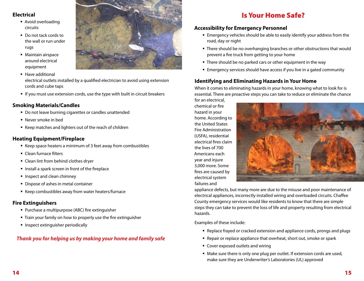#### **Electrical**

- Avoid overloading circuits
- Do not tack cords to the wall or run under rugs
- **Maintain airspace** around electrical equipment
- **Have additional** electrical outlets installed by a qualified electrician to avoid using extension cords and cube taps
- If you must use extension cords, use the type with built in circuit breakers

#### **Smoking Materials/Candles**

- Do not leave burning cigarettes or candles unattended
- Never smoke in bed
- Keep matches and lighters out of the reach of children

#### **Heating Equipment/Fireplace**

- Keep space heaters a minimum of 3 feet away from combustibles
- **Clean furnace filters**
- Clean lint from behind clothes dryer
- **Install a spark screen in front of the fireplace**
- **Inspect and clean chimney**
- Dispose of ashes in metal container
- Keep combustibles away from water heaters/furnace

#### **Fire Extinguishers**

- **Purchase a multipurpose (ABC) fire extinguisher**
- **Train your family on how to properly use the fire extinguisher**
- **Inspect extinguisher periodically**

#### *Thank you for helping us by making your home and family safe*



## Is Your Home Safe?

#### **Accessibility for Emergency Personnel**

- Emergency vehicles should be able to easily identify your address from the road, day or night
- There should be no overhanging branches or other obstructions that would prevent a fire truck from getting to your home
- There should be no parked cars or other equipment in the way
- Emergency services should have access if you live in a gated community

#### **Identifying and Eliminating Hazards in Your Home**

When it comes to eliminating hazards in your home, knowing what to look for is essential. There are proactive steps you can take to reduce or eliminate the chance

for an electrical, chemical or fire hazard in your home. According to the United States Fire Administration (USFA), residential electrical fires claim the lives of 700 Americans each year and injure 3,000 more. Some fires are caused by electrical system failures and



appliance defects, but many more are due to the misuse and poor maintenance of electrical appliances, incorrectly installed wiring and overloaded circuits. Chaffee County emergency services would like residents to know that there are simple steps they can take to prevent the loss of life and property resulting from electrical hazards.

Examples of these include:

- Replace frayed or cracked extension and appliance cords, prongs and plugs
- Repair or replace appliance that overheat, short out, smoke or spark
- Cover exposed outlets and wiring
- Make sure there is only one plug per outlet. If extension cords are used, make sure they are Underwriter's Laboratories (UL) approved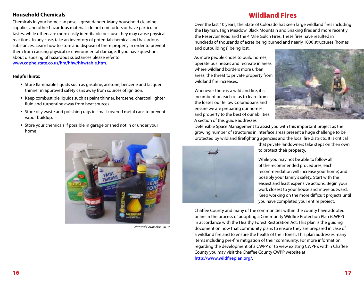#### **Household Chemicals**

Chemicals in your home can pose a great danger. Many household cleaning supplies and other hazardous materials do not emit odors or have particular tastes, while others are more easily identifiable because they may cause physical reactions. In any case, take an inventory of potential chemical and hazardous substances. Learn how to store and dispose of them properly in order to prevent them from causing physical or environmental damage. If you have questions about disposing of hazardous substances please refer to: **www.cdphe.state.co.us/hm/hhw/hhwtable.htm.**

#### **Helpful hints:**

- Store flammable liquids such as gasoline, acetone, benzene and lacquer thinner in approved safety cans away from sources of ignition.
- Keep combustible liquids such as paint thinner, kerosene, charcoal lighter fluid and turpentine away from heat sources
- Store oily waste and polishing rags in small covered metal cans to prevent vapor buildup.
- Store your chemicals if possible in garage or shed not in or under your home



*Natural Counselor, 2010*

## Wildland Fires

Over the last 10 years, the State of Colorado has seen large wildland fires including the Hayman, High Meadow, Black Mountain and Snaking fires and more recently the Reservoir Road and the 4 Mile Gulch Fires. These fires have resulted in hundreds of thousands of acres being burned and nearly 1000 structures (homes and outbuildings) being lost.

As more people chose to build homes, operate businesses and recreate in areas where wildland borders more urban areas, the threat to private property from wildland fire increases.

Whenever there is a wildland fire, it is incumbent on each of us to learn from the losses our fellow Coloradoans and ensure we are preparing our homes and property to the best of our abilities. A section of this guide addresses



Defensible Space Management to assist you with this important project as the growing number of structures in interface areas present a huge challenge to be protected by wildland firefighting agencies and the local fire districts. It is critical



that private landowners take steps on their own to protect their property.

While you may not be able to follow all of the recommended procedures, each recommendation will increase your home', and possibly your family's safety. Start with the easiest and least expensive actions. Begin your work closest to your house and move outward. Keep working on the more difficult projects until you have completed your entire project.

Chaffee County and many of the communities within the county have adopted or are in the process of adopting a Community Wildfire Protection Plan (CWPP) in accordance with the Healthy Forest Restoration Act. This plan is the guiding document on how that community plans to ensure they are prepared in case of a wildland fire and to ensure the health of their forest. This plan addresses many items including pre-fire mitigation of their community. For more information regarding the development of a CWPP or to view existing CWPP's within Chaffee County you may visit the Chaffee County CWPP website at **http://www.wildfireplan.org/**.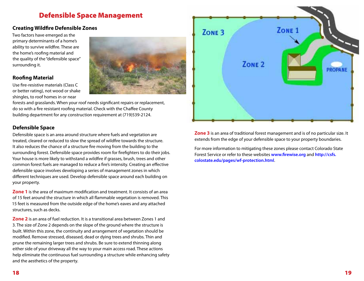## Defensible Space Management

#### **Creating Wildfire Defensible Zones**

Two factors have emerged as the primary determinants of a home's ability to survive wildfire. These are the home's roofing material and the quality of the "defensible space" surrounding it.

#### **Roofing Material**

Use fire-resistive materials (Class C or better rating), not wood or shake shingles, to roof homes in or near



forests and grasslands. When your roof needs significant repairs or replacement, do so with a fire resistant roofing material. Check with the Chaffee County building department for any construction requirement at (719)539-2124.

#### **Defensible Space**

Defensible space is an area around structure where fuels and vegetation are treated, cleared or reduced to slow the spread of wildfire towards the structure. It also reduces the chance of a structure fire moving from the building to the surrounding forest. Defensible space provides room for firefighters to do their jobs. Your house is more likely to withstand a wildfire if grasses, brush, trees and other common forest fuels are managed to reduce a fire's intensity. Creating an effective defensible space involves developing a series of management zones in which different techniques are used. Develop defensible space around each building on your property.

**Zone 1** is the area of maximum modification and treatment. It consists of an area of 15 feet around the structure in which all flammable vegetation is removed. This 15 feet is measured from the outside edge of the home's eaves and any attached structures, such as decks.

**Zone 2** is an area of fuel reduction. It is a transitional area between Zones 1 and 3. The size of Zone 2 depends on the slope of the ground where the structure is built. Within this zone, the continuity and arrangement of vegetation should be modified. Remove stressed, diseased, dead or dying trees and shrubs. Thin and prune the remaining larger trees and shrubs. Be sure to extend thinning along either side of your driveway all the way to your main access road. These actions help eliminate the continuous fuel surrounding a structure while enhancing safety and the aesthetics of the property.



**Zone 3** is an area of traditional forest management and is of no particular size. It extends from the edge of your defensible space to your property boundaries.

For more information to mitigating these zones please contact Colorado State Forest Service or refer to these websites **www.firewise.org** and **http://csfs. colostate.edu/pages/wf-protection.html**.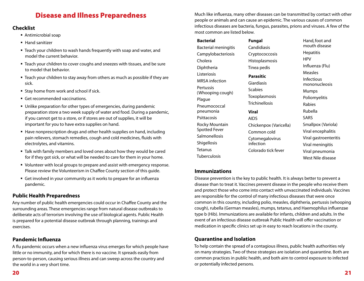## Disease and Illness Preparedness

#### **Checklist**

- Antimicrobial soap
- Hand sanitizer
- Teach your children to wash hands frequently with soap and water, and model the current behavior.
- Teach your children to cover coughs and sneezes with tissues, and be sure to model that behavior.
- Teach your children to stay away from others as much as possible if they are sick.
- **Stay home from work and school if sick.**
- Get recommended vaccinations.
- Unlike preparation for other types of emergencies, during pandemic preparation store a two week supply of water and food. During a pandemic, if you cannot get to a store, or if stores are out of supplies, it will be important for you to have extra supplies on hand.
- Have nonprescription drugs and other health supplies on hand, including pain relievers, stomach remedies, cough and cold medicines, fluids with electrolytes, and vitamins.
- Talk with family members and loved ones about how they would be cared for if they got sick, or what will be needed to care for them in your home.
- Volunteer with local groups to prepare and assist with emergency response. Please review the Volunteerism in Chaffee County section of this guide.
- Get involved in your community as it works to prepare for an influenza pandemic.

## **Public Health Preparedness**

Any number of public health emergencies could occur in Chaffee County and the surrounding areas. These emergencies range from natural disease outbreaks to deliberate acts of terrorism involving the use of biological agents. Public Health is prepared for a potential disease outbreak through planning, trainings and exercises.

#### **Pandemic Influenza**

A flu pandemic occurs when a new influenza virus emerges for which people have little or no immunity, and for which there is no vaccine. It spreads easily from person-to-person, causing serious illness and can sweep across the country and the world in a very short time.

Much like influenza, many other diseases can be transmitted by contact with other people or animals and can cause an epidemic. The various causes of common infectious diseases are bacteria, fungus, parasites, prions and viruses. A few of the most common are listed below.

# **Bacterial** Bacterial meningitis

Campylobacteriosis Cholera **Diphtheria** Listeriosis MRSA infection **Pertussis** (Whooping cough) Plague Pneumococcal pneumonia **Psittacosis** Rocky Mountain Spotted Fever Salmonellosis Shigellosis

**Fungal** Candidiasis Cryptococcosis Histoplasmosis Tinea pedis **Parasitic** Giardiasis Scabies Toxoplasmosis Trichinellosis

#### **Viral** AIDS

Chickenpox (Varicella) Common cold Cytomegalovirus infection Colorado tick fever

Hand, foot and mouth disease **Hepatitis** HPV Influenza (Flu) Measles Infectious mononucleosis Mumps Poliomyelitis Rabies Rubella SARS Smallpox (Variola) Viral encephalitis Viral gastroenteritis Viral meningitis Viral pneumonia West Nile disease

## **Immunizations**

Tetanus **Tuberculosis** 

Disease prevention is the key to public health. It is always better to prevent a disease than to treat it. Vaccines prevent disease in the people who receive them and protect those who come into contact with unvaccinated individuals. Vaccines are responsible for the control of many infectious diseases that were once common in this country, including polio, measles, diphtheria, pertussis (whooping cough), rubella (German measles), mumps, tetanus, and Haemophilus influenzae type b (Hib). Immunizations are available for infants, children and adults. In the event of an infectious disease outbreak Public Health will offer vaccination or medication in specific clinics set up in easy to reach locations in the county.

## **Quarantine and Isolation**

To help contain the spread of a contagious illness, public health authorities rely on many strategies. Two of these strategies are isolation and quarantine. Both are common practices in public health, and both aim to control exposure to infected or potentially infected persons.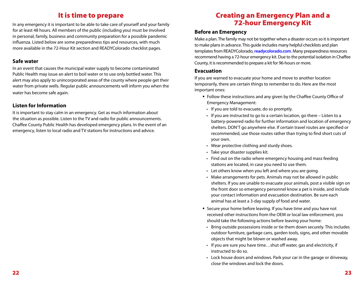# It is time to prepare

In any emergency it is important to be able to take care of yourself and your family for at least 48 hours. All members of the public (including you) must be involved in personal, family, business and community preparation for a possible pandemic influenza. Listed below are some preparedness tips and resources, with much more available in the 72-Hour Kit section and READYColorado checklist pages.

#### **Safe water**

In an event that causes the municipal water supply to become contaminated Public Health may issue an alert to boil water or to use only bottled water. This alert may also apply to unincorporated areas of the county where people get their water from private wells. Regular public announcements will inform you when the water has become safe again.

#### **Listen for Information**

It is important to stay calm in an emergency. Get as much information about the situation as possible. Listen to the TV and radio for public announcements. Chaffee County Public Health has developed emergency plans. In the event of an emergency, listen to local radio and TV stations for instructions and advice.

## Creating an Emergency Plan and a 72-hour Emergency Kit

#### **Before an Emergency**

Make a plan. The family may not be together when a disaster occurs so it is important to make plans in advance. This guide includes many helpful checklists and plan templates from READYColorado, **readycolorado.com**. Many preparedness resources recommend having a 72-hour emergency kit. Due to the potential isolation in Chaffee County, it is recommended to prepare a kit for 96-hours or more.

#### **Evacuation**

If you are warned to evacuate your home and move to another location temporarily, there are certain things to remember to do. Here are the most important ones:

- Follow these instructions and any given by the Chaffee County Office of Emergency Management:
	- If you are told to evacuate, do so promptly.
- If you are instructed to go to a certain location, go there Listen to a battery-powered radio for further information and location of emergency shelters. DON'T go anywhere else. If certain travel routes are specified or recommended, use those routes rather than trying to find short cuts of your own.
- Wear protective clothing and sturdy shoes.
- Take your disaster supplies kit.
- Find out on the radio where emergency housing and mass feeding stations are located, in case you need to use them.
- Let others know when you left and where you are going.
- Make arrangements for pets. Animals may not be allowed in public shelters. If you are unable to evacuate your animals, post a visible sign on the front door so emergency personnel know a pet is inside, and include your contact information and evacuation destination. Be sure each animal has at least a 3-day supply of food and water.
- Secure your home before leaving. If you have time and you have not received other instructions from the OEM or local law enforcement, you should take the following actions before leaving your home:
	- Bring outside possessions inside or tie them down securely. This includes outdoor furniture, garbage cans, garden tools, signs, and other movable objects that might be blown or washed away.
	- If you are sure you have time…shut off water, gas and electricity, if instructed to do so.
	- Lock house doors and windows. Park your car in the garage or driveway, close the windows and lock the doors.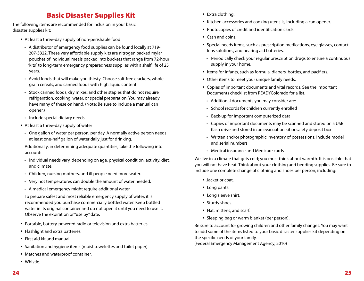# Basic Disaster Supplies Kit

The following items are recommended for inclusion in your basic disaster supplies kit:

- At least a three-day supply of non-perishable food
	- A distributor of emergency food supplies can be found locally at 719-207-3322. These very affordable supply kits are nitrogen packed mylar pouches of individual meals packed into buckets that range from 72-hour "kits" to long-term emergency preparedness supplies with a shelf life of 25 years.
	- Avoid foods that will make you thirsty. Choose salt-free crackers, whole grain cereals, and canned foods with high liquid content.
	- Stock canned foods, dry mixes, and other staples that do not require refrigeration, cooking, water, or special preparation. You may already have many of these on hand. (Note: Be sure to include a manual can opener.)
- Include special dietary needs.
- At least a three-day supply of water
	- One gallon of water per person, per day. A normally active person needs at least one-half gallon of water daily just for drinking.

Additionally, in determining adequate quantities, take the following into account:

- Individual needs vary, depending on age, physical condition, activity, diet, and climate.
- Children, nursing mothers, and ill people need more water.
- Very hot temperatures can double the amount of water needed.
- A medical emergency might require additional water.

To prepare safest and most reliable emergency supply of water, it is recommended you purchase commercially bottled water. Keep bottled water in its original container and do not open it until you need to use it. Observe the expiration or "use by" date.

- **Portable, battery-powered radio or television and extra batteries.**
- **Flashlight and extra batteries.**
- First aid kit and manual.
- Sanitation and hygiene items (moist towelettes and toilet paper).
- Matches and waterproof container.
- **Whistle.**
- Extra clothing.
- Kitchen accessories and cooking utensils, including a can opener.
- **Photocopies of credit and identification cards.**
- Cash and coins.
- **Special needs items, such as prescription medications, eye glasses, contact** lens solutions, and hearing aid batteries.
- Periodically check your regular prescription drugs to ensure a continuous supply in your home.
- Items for infants, such as formula, diapers, bottles, and pacifiers.
- **Other items to meet your unique family needs.**
- Copies of important documents and vital records. See the Important Documents checklist from READYColorado for a list.
- Additional documents you may consider are:
- School records for children currently enrolled
- Back-up for important computerized data
- Copies of important documents may be scanned and stored on a USB flash drive and stored in an evacuation kit or safety deposit box
- Written and/or photographic inventory of possessions; include model and serial numbers
- Medical insurance and Medicare cards

We live in a climate that gets cold; you must think about warmth. It is possible that you will not have heat. Think about your clothing and bedding supplies. Be sure to include one complete change of clothing and shoes per person, including:

- **Jacket or coat.**
- **Long pants.**
- **Long sleeve shirt.**
- **Sturdy shoes.**
- Hat, mittens, and scarf.
- **Sleeping bag or warm blanket (per person).**

Be sure to account for growing children and other family changes. You may want to add some of the items listed to your basic disaster supplies kit depending on the specific needs of your family.

(Federal Emergency Management Agency, 2010)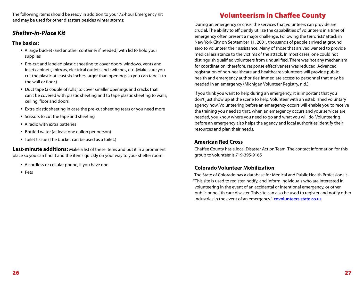The following items should be ready in addition to your 72-hour Emergency Kit and may be used for other disasters besides winter storms:

## *Shelter-in-Place Kit*

#### **The basics:**

- A large bucket (and another container if needed) with lid to hold your supplies
- Pre-cut and labeled plastic sheeting to cover doors, windows, vents and inset cabinets, mirrors, electrical outlets and switches, etc. (Make sure you cut the plastic at least six inches larger than openings so you can tape it to the wall or floor.)
- Duct tape (a couple of rolls) to cover smaller openings and cracks that can't be covered with plastic sheeting and to tape plastic sheeting to walls, ceiling, floor and doors
- **Extra plastic sheeting in case the pre-cut sheeting tears or you need more**
- **Scissors to cut the tape and sheeting**
- A radio with extra batteries
- **Bottled water (at least one gallon per person)**
- **Toilet tissue (The bucket can be used as a toilet.)**

**Last-minute additions:** Make a list of these items and put it in a prominent place so you can find it and the items quickly on your way to your shelter room.

- A cordless or cellular phone, if you have one
- **Pets**

# Volunteerism in Chaffee County

During an emergency or crisis, the services that volunteers can provide are crucial. The ability to efficiently utilize the capabilities of volunteers in a time of emergency often present a major challenge. Following the terrorists' attack in New York City on September 11, 2001, thousands of people arrived at ground zero to volunteer their assistance. Many of those that arrived wanted to provide medical assistance to the victims of the attack. In most cases, one could not distinguish qualified volunteers from unqualified. There was not any mechanism for coordination; therefore, response effectiveness was reduced. Advanced registration of non-healthcare and healthcare volunteers will provide public health and emergency authorities' immediate access to personnel that may be needed in an emergency (Michigan Volunteer Registry, n.d.).

If you think you want to help during an emergency, it is important that you don't just show up at the scene to help. Volunteer with an established voluntary agency now. Volunteering before an emergency occurs will enable you to receive the training you need so that, when an emergency occurs and your services are needed, you know where you need to go and what you will do. Volunteering before an emergency also helps the agency and local authorities identify their resources and plan their needs.

## **American Red Cross**

Chaffee County has a local Disaster Action Team. The contact information for this group to volunteer is 719-395-9165

## **Colorado Volunteer Mobilization**

The State of Colorado has a database for Medical and Public Health Professionals. "This site is used to register, notify, and inform individuals who are interested in volunteering in the event of an accidental or intentional emergency, or other public or health care disaster. This site can also be used to register and notify other industries in the event of an emergency." **covolunteers.state.co.us**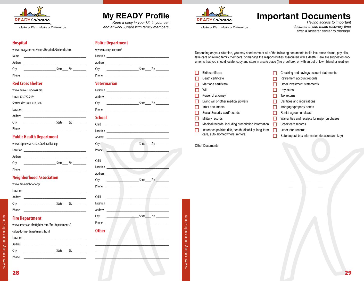

# **My READY Profile**

*Keep a copy in your kit, in your car, and at work. Share with family members.*

**Police Department**



# **Important Documents** *Having access to important*

*documents can make recovery time after a disaster easier to manage.*

#### **Hospital**

| www.theagapecenter.com/Hospitals/Colorado.htm |                  |  |  |
|-----------------------------------------------|------------------|--|--|
| Name                                          |                  |  |  |
| Address                                       |                  |  |  |
| City                                          | State <u>Zip</u> |  |  |
| Phone                                         |                  |  |  |

#### **Red Cross Shelter**

|       | www.denver-redcross.org   |                  |  |
|-------|---------------------------|------------------|--|
|       | Local: 303.722.7474       |                  |  |
|       | Statewide: 1.800.417.0495 |                  |  |
|       |                           |                  |  |
|       |                           |                  |  |
| City  |                           | <u>State</u> Zip |  |
| Phone |                           |                  |  |

#### **Public Health Department**

|          | www.cdphe.state.co.us/as/locallist.asp                      |
|----------|-------------------------------------------------------------|
| Location | the control of the control of the control of the control of |
| Address  | <u> 1980 - Andrea Andrew Maria (h. 1980).</u>               |
| City     | State Zip                                                   |
| Phone    |                                                             |

#### **Neighborhood Association**

|          | www.nrc-neighbor.org/                            |           |
|----------|--------------------------------------------------|-----------|
| Location |                                                  |           |
| Address  | the control of the control of the control of the |           |
| City     | the control of the control of the                | State Zip |
| Phone    |                                                  |           |

#### **Fire Department**

www.american-firefighter.com/fire-departments/

| Location       |              |
|----------------|--------------|
| <b>Address</b> |              |
| City           | State<br>Zip |
| Phone          |              |

| www.usacops.com/co/                |                               |  |
|------------------------------------|-------------------------------|--|
|                                    |                               |  |
|                                    |                               |  |
| City                               |                               |  |
| Phone                              |                               |  |
| <b>Veterinarian</b>                |                               |  |
|                                    |                               |  |
| Address __________________________ |                               |  |
| City                               |                               |  |
| Phone                              |                               |  |
| School                             |                               |  |
| Child                              |                               |  |
|                                    |                               |  |
|                                    |                               |  |
| City                               | <u>State Zip</u>              |  |
| Phone                              |                               |  |
| Child                              | <u>and the state</u>          |  |
| Location                           |                               |  |
| Address ______                     |                               |  |
| City                               | <u>State Zip Zimman State</u> |  |
| Phone                              |                               |  |
|                                    |                               |  |
| Child<br>the control of the        |                               |  |
| Location                           |                               |  |
| Address <sub>________</sub>        |                               |  |
| City                               | <u>State Zip</u>              |  |
| Phone                              |                               |  |
| <b>Other</b>                       |                               |  |
|                                    |                               |  |
|                                    |                               |  |
|                                    |                               |  |
|                                    |                               |  |

*Make a Plan. Make a Difference.* Depending on your situation, you may need some or all of the following documents to file insurance claims, pay bills, take care of injured family members, or manage the responsibilities associated with a death. Here are suggested documents that you should locate, copy and store in a safe place (fire proof box, or with an out of town friend or relative).

|   | Birth certificate                                       | Checking and savings account statements         |
|---|---------------------------------------------------------|-------------------------------------------------|
|   | Death certificate                                       | Retirement account records                      |
|   | Marriage certificate                                    | Other investment statements                     |
|   | Will                                                    | Pay stubs                                       |
|   | Power of attorney                                       | Tax returns                                     |
|   | Living will or other medical powers                     | Car titles and registrations                    |
|   | <b>Trust documents</b>                                  | Mortgage/property deeds                         |
|   | Social Security card/records                            | Rental agreement/lease                          |
|   | Military records                                        | Warranties and receipts for major purchases     |
| H | Medical records, including prescription information     | Credit card records                             |
| H | Insurance policies (life, health, disability, long-term | Other loan records                              |
|   | care, auto, homeowners, renters)                        | Safe deposit box information (location and key) |
|   |                                                         |                                                 |

\_\_\_\_\_\_\_\_\_\_\_\_\_\_\_\_\_\_\_\_\_\_\_\_\_\_\_\_\_\_\_\_\_\_\_\_\_\_\_\_\_\_\_\_\_\_\_\_\_\_\_\_\_\_\_\_\_\_\_\_\_\_\_\_\_\_\_\_\_\_\_\_\_\_\_\_\_\_\_\_\_\_\_\_\_\_\_\_\_\_\_\_\_ \_\_\_\_\_\_\_\_\_\_\_\_\_\_\_\_\_\_\_\_\_\_\_\_\_\_\_\_\_\_\_\_\_\_\_\_\_\_\_\_\_\_\_\_\_\_\_\_\_\_\_\_\_\_\_\_\_\_\_\_\_\_\_\_\_\_\_\_\_\_\_\_\_\_\_\_\_\_\_\_\_\_\_\_\_\_\_\_\_\_\_\_\_ \_\_\_\_\_\_\_\_\_\_\_\_\_\_\_\_\_\_\_\_\_\_\_\_\_\_\_\_\_\_\_\_\_\_\_\_\_\_\_\_\_\_\_\_\_\_\_\_\_\_\_\_\_\_\_\_\_\_\_\_\_\_\_\_\_\_\_\_\_\_\_\_\_\_\_\_\_\_\_\_\_\_\_\_\_\_\_\_\_\_\_\_\_  $\frac{1}{2}$  ,  $\frac{1}{2}$  ,  $\frac{1}{2}$  ,  $\frac{1}{2}$  ,  $\frac{1}{2}$  ,  $\frac{1}{2}$  ,  $\frac{1}{2}$  ,  $\frac{1}{2}$  ,  $\frac{1}{2}$  ,  $\frac{1}{2}$  ,  $\frac{1}{2}$  ,  $\frac{1}{2}$  ,  $\frac{1}{2}$  ,  $\frac{1}{2}$  ,  $\frac{1}{2}$  ,  $\frac{1}{2}$  ,  $\frac{1}{2}$  ,  $\frac{1}{2}$  ,  $\frac{1$ \_\_\_\_\_\_\_\_\_\_\_\_\_\_\_\_\_\_\_\_\_\_\_\_\_\_\_\_\_\_\_\_\_\_\_\_\_\_\_\_\_\_\_\_\_\_\_\_\_\_\_\_\_\_\_\_\_\_\_\_\_\_\_\_\_\_\_\_\_\_\_\_\_\_\_\_\_\_\_\_\_\_\_\_\_\_\_\_\_\_\_\_\_  $\_$  , and the set of the set of the set of the set of the set of the set of the set of the set of the set of the set of the set of the set of the set of the set of the set of the set of the set of the set of the set of th

\_\_\_\_\_\_\_\_\_\_\_\_\_\_\_\_\_\_\_\_\_\_\_\_\_\_\_\_\_\_\_\_\_\_\_\_\_\_\_\_\_\_\_\_\_\_\_\_\_\_\_\_\_\_\_\_\_\_\_\_\_\_\_\_\_\_\_\_\_\_\_\_\_\_\_\_\_\_\_\_\_\_\_\_\_\_\_\_\_\_\_\_\_  $\_$  , and the set of the set of the set of the set of the set of the set of the set of the set of the set of the set of the set of the set of the set of the set of the set of the set of the set of the set of the set of th

| <b>Other Documents:</b> |  |
|-------------------------|--|
|                         |  |

|  | www.readvcolorado.com |
|--|-----------------------|

28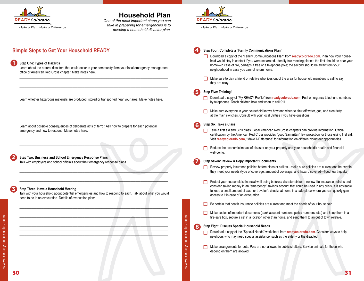

# **Household Plan**

*One of the most important steps you can take in preparing for emergencies is to develop a household disaster plan.*

## **Simple Steps to Get Your Household READY**

#### **Step One: Types of Hazards**

**1**

**2**

**3**

Learn about the natural disasters that could occur in your community from your local emergency management office or American Red Cross chapter. Make notes here.  $\_$  ,  $\_$  ,  $\_$  ,  $\_$  ,  $\_$  ,  $\_$  ,  $\_$  ,  $\_$  ,  $\_$  ,  $\_$  ,  $\_$  ,  $\_$  ,  $\_$  ,  $\_$  ,  $\_$  ,  $\_$  ,  $\_$  ,  $\_$  ,  $\_$  ,  $\_$ 

 $\_$  ,  $\_$  ,  $\_$  ,  $\_$  ,  $\_$  ,  $\_$  ,  $\_$  ,  $\_$  ,  $\_$  ,  $\_$  ,  $\_$  ,  $\_$  ,  $\_$  ,  $\_$  ,  $\_$  ,  $\_$  ,  $\_$  ,  $\_$  ,  $\_$  ,  $\_$  $\_$  ,  $\_$  ,  $\_$  ,  $\_$  ,  $\_$  ,  $\_$  ,  $\_$  ,  $\_$  ,  $\_$  ,  $\_$  ,  $\_$  ,  $\_$  ,  $\_$  ,  $\_$  ,  $\_$  ,  $\_$  ,  $\_$  ,  $\_$  ,  $\_$  ,  $\_$  $\_$  ,  $\_$  ,  $\_$  ,  $\_$  ,  $\_$  ,  $\_$  ,  $\_$  ,  $\_$  ,  $\_$  ,  $\_$  ,  $\_$  ,  $\_$  ,  $\_$  ,  $\_$  ,  $\_$  ,  $\_$  ,  $\_$  ,  $\_$  ,  $\_$  ,  $\_$ 

Learn whether hazardous materials are produced, stored or transported near your area. Make notes here. \_\_\_\_\_\_\_\_\_\_\_\_\_\_\_\_\_\_\_\_\_\_\_\_\_\_\_\_\_\_\_\_\_\_\_\_\_\_\_\_\_\_\_\_\_\_\_\_\_\_\_\_\_\_\_\_\_\_\_\_\_\_\_\_\_\_\_\_\_\_\_\_\_\_\_\_\_\_\_\_\_\_\_\_\_\_\_

\_\_\_\_\_\_\_\_\_\_\_\_\_\_\_\_\_\_\_\_\_\_\_\_\_\_\_\_\_\_\_\_\_\_\_\_\_\_\_\_\_\_\_\_\_\_\_\_\_\_\_\_\_\_\_\_\_\_\_\_\_\_\_\_\_\_\_\_\_\_\_\_\_\_\_\_\_\_\_\_\_\_\_\_\_\_\_ \_\_\_\_\_\_\_\_\_\_\_\_\_\_\_\_\_\_\_\_\_\_\_\_\_\_\_\_\_\_\_\_\_\_\_\_\_\_\_\_\_\_\_\_\_\_\_\_\_\_\_\_\_\_\_\_\_\_\_\_\_\_\_\_\_\_\_\_\_\_\_\_\_\_\_\_\_\_\_\_\_\_\_\_\_\_\_  $\_$  ,  $\_$  ,  $\_$  ,  $\_$  ,  $\_$  ,  $\_$  ,  $\_$  ,  $\_$  ,  $\_$  ,  $\_$  ,  $\_$  ,  $\_$  ,  $\_$  ,  $\_$  ,  $\_$  ,  $\_$  ,  $\_$  ,  $\_$  ,  $\_$ 

 $\_$  ,  $\_$  ,  $\_$  ,  $\_$  ,  $\_$  ,  $\_$  ,  $\_$  ,  $\_$  ,  $\_$  ,  $\_$  ,  $\_$  ,  $\_$  ,  $\_$  ,  $\_$  ,  $\_$  ,  $\_$  ,  $\_$  ,  $\_$  ,  $\_$  $\_$  , and the set of the set of the set of the set of the set of the set of the set of the set of the set of the set of the set of the set of the set of the set of the set of the set of the set of the set of the set of th  $\Box$ \_\_\_\_\_\_\_\_\_\_\_\_\_\_\_\_\_\_\_\_\_\_\_\_\_\_\_\_\_\_\_\_\_\_\_\_\_\_\_\_\_\_\_\_\_\_\_\_\_\_\_\_\_\_\_\_\_\_\_\_\_\_\_\_\_\_\_\_\_\_\_\_\_\_\_\_\_\_\_\_\_\_\_\_\_\_\_

\_\_\_\_\_\_\_\_\_\_\_\_\_\_\_\_\_\_\_\_\_\_\_\_\_\_\_\_\_\_\_\_\_\_\_\_\_\_\_\_\_\_\_\_\_\_\_\_\_\_\_\_\_\_\_\_\_\_\_\_\_\_\_\_\_\_\_\_\_\_\_\_\_\_\_\_\_\_\_\_\_\_\_\_\_\_\_ \_\_\_\_\_\_\_\_\_\_\_\_\_\_\_\_\_\_\_\_\_\_\_\_\_\_\_\_\_\_\_\_\_\_\_\_\_\_\_\_\_\_\_\_\_\_\_\_\_\_\_\_\_\_\_\_\_\_\_\_\_\_\_\_\_\_\_\_\_\_\_\_\_\_\_\_\_\_\_\_\_\_\_\_\_\_\_ \_\_\_\_\_\_\_\_\_\_\_\_\_\_\_\_\_\_\_\_\_\_\_\_\_\_\_\_\_\_\_\_\_\_\_\_\_\_\_\_\_\_\_\_\_\_\_\_\_\_\_\_\_\_\_\_\_\_\_\_\_\_\_\_\_\_\_\_\_\_\_\_\_\_\_\_\_\_\_\_\_\_\_\_\_\_\_ \_\_\_\_\_\_\_\_\_\_\_\_\_\_\_\_\_\_\_\_\_\_\_\_\_\_\_\_\_\_\_\_\_\_\_\_\_\_\_\_\_\_\_\_\_\_\_\_\_\_\_\_\_\_\_\_\_\_\_\_\_\_\_\_\_\_\_\_\_\_\_\_\_\_\_\_\_\_\_\_\_\_\_\_\_\_\_

Learn about possible consequences of deliberate acts of terror. Ask how to prepare for each potential emergency and how to respond. Make notes here.

**Step Two: Business and School Emergency Response Plans**

Talk with employers and school officials about their emergency response plans.

#### **Step Three: Have a Household Meeting**

Talk with your household about potential emergencies and how to respond to each. Talk about what you would need to do in an evacuation. Details of evacuation plan:



*Make a Plan. Make a Difference.*



#### **Step Four: Complete a "Family Communications Plan"**

- □ Download a copy of the "Family Communications Plan" from readycolorado.com. Plan how vour household would stay in contact if you were separated. Identify two meeting places: the first should be near your home—in case of fire, perhaps a tree or a telephone pole; the second should be away from your neighborhood in case you cannot return home.
- Make sure to pick a friend or relative who lives out of the area for household members to call to say they are okay.

**Step Five: Training! 5**

**4**

**7**

**8**

- □ Download a copy of "My READY Profile" from readycolorado.com. Post emergency telephone numbers by telephones. Teach children how and when to call 911.
- $\Box$  Make sure everyone in your household knows how and when to shut off water, gas, and electricity at the main switches. Consult with your local utilities if you have questions.

#### **Step Six: Take a Class 6**

- Take a first aid and CPR class. Local American Red Cross chapters can provide information. Official certification by the American Red Cross provides "good Samaritan" law protection for those giving first aid. Visit **readycolorado.com**, "Make A Difference" for information on different volunteer opportunities.
- Reduce the economic impact of disaster on your property and your household's health and financial well-being.

#### **Step Seven: Review & Copy Important Documents**

- Review property insurance policies before disaster strikes—make sure policies are current and be certain they meet your needs (type of coverage, amount of coverage, and hazard covered—flood, earthquake)
- Protect your household's financial well-being before a disaster strikes—review life insurance policies and consider saving money in an "emergency" savings account that could be used in any crisis. It is advisable to keep a small amount of cash or traveler's checks at home in a safe place where you can quickly gain access to it in case of an evacuation.
- $\Box$  Be certain that health insurance policies are current and meet the needs of your household.
- $\Box$  Make copies of important documents (bank account numbers, policy numbers, etc.) and keep them in a fire-safe box, secure a set in a location other than home, and send them to an out of town relative.

#### **Step Eight: Discuss Special Household Needs**

w w w. r e a d y c o l o r a d o . c o m

www.readycolorado.com

- Download a copy of the "Special Needs" worksheet from **readycolorado.com**. Consider ways to help neighbors who may need special assistance, such as the elderly or the disabled.
- Make arrangements for pets. Pets are not allowed in public shelters. Service animals for those who depend on them are allowed.

w w w. r e a d y c o l o r a d o . c o m

www.readycolorado.com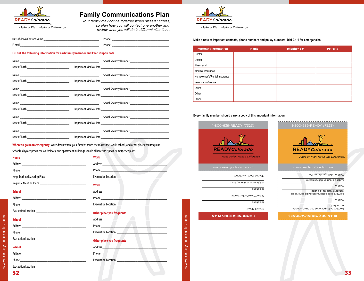

Make a Plan, Make a Difference.

## **Family Communications Plan**

Your family may not be together when disaster strikes, so plan how you will contact one another and review what you will do in different situations.

| Out-of-Town C | וח          |
|---------------|-------------|
| <b>ontar</b>  | mone        |
| E-mail        | וח<br>rnone |

#### Fill out the following information for each family member and keep it up to date.

|                                                  | Social Security Number<br><u>Social Security Number</u> |
|--------------------------------------------------|---------------------------------------------------------|
|                                                  |                                                         |
|                                                  |                                                         |
|                                                  | Important Medical Info                                  |
|                                                  | Social Security Number<br><u>Social Security Number</u> |
|                                                  |                                                         |
|                                                  | Social Security Number                                  |
|                                                  |                                                         |
|                                                  | Social Security Number<br><u>Social Security Number</u> |
| Date of Birth __________________________________ |                                                         |

Where to go in an emergency. Write down where your family spends the most time: work, school, and other places you frequent. Schools, daycare providers, workplaces, and apartment buildings should al have site-specific emergency plans.

| Home          | Work                             |
|---------------|----------------------------------|
|               | Address____                      |
|               | <b>Phone</b>                     |
|               | <b>Evacuation Location</b>       |
|               | <b>Work</b>                      |
| <b>School</b> |                                  |
|               | <b>Phone <i>Phone</i></b>        |
|               | <b>Evacuation Location</b>       |
|               | <b>Other place you frequent:</b> |

#### **School**

| <b>School</b> |                                               |
|---------------|-----------------------------------------------|
|               |                                               |
| Phone         | <u> 1980 - Andrea Andrew Maria (h. 1980).</u> |

| <b>Work</b>                                                                                                                                                                                                                    |                                                                                                                                                                                                                                      |
|--------------------------------------------------------------------------------------------------------------------------------------------------------------------------------------------------------------------------------|--------------------------------------------------------------------------------------------------------------------------------------------------------------------------------------------------------------------------------------|
|                                                                                                                                                                                                                                |                                                                                                                                                                                                                                      |
|                                                                                                                                                                                                                                | Phone <u>the contract of the contract of the contract of the contract of the contract of the contract of the contract of the contract of the contract of the contract of the contract of the contract of the contract of the con</u> |
| <b>Evacuation Location</b>                                                                                                                                                                                                     | the control of the control of the control of the control of                                                                                                                                                                          |
| <b>Work</b>                                                                                                                                                                                                                    |                                                                                                                                                                                                                                      |
| Address and the contract of the contract of the contract of the contract of the contract of the contract of the contract of the contract of the contract of the contract of the contract of the contract of the contract of th |                                                                                                                                                                                                                                      |
|                                                                                                                                                                                                                                |                                                                                                                                                                                                                                      |
| <b>Evacuation Location</b>                                                                                                                                                                                                     | the control of the control of the control of                                                                                                                                                                                         |
| <b>Other place you frequent:</b>                                                                                                                                                                                               |                                                                                                                                                                                                                                      |
| Phone <b>Phone</b>                                                                                                                                                                                                             |                                                                                                                                                                                                                                      |
| <b>Evacuation Location</b>                                                                                                                                                                                                     |                                                                                                                                                                                                                                      |
| <b>Other place you frequent:</b>                                                                                                                                                                                               |                                                                                                                                                                                                                                      |
|                                                                                                                                                                                                                                |                                                                                                                                                                                                                                      |
| Phone <b>Phone</b>                                                                                                                                                                                                             |                                                                                                                                                                                                                                      |
| <b>Evacuation Location</b>                                                                                                                                                                                                     |                                                                                                                                                                                                                                      |

www.readycolorado.com



Make a Plan, Make a Difference.

Make a note of important contacts, phone numbers and policy numbers. Dial 9-1-1 for emergencies!

| <b>Important Information</b> | <b>Name</b> | Telephone # | Policy # |
|------------------------------|-------------|-------------|----------|
| Doctor                       |             |             |          |
| Doctor                       |             |             |          |
| Pharmacist                   |             |             |          |
| Medical Insurance            |             |             |          |
| Homeowner's/Rental Insurance |             |             |          |
| Veterinarian/Kennel          |             |             |          |
| Other                        |             |             |          |
| Other                        |             |             |          |
| Other                        |             |             |          |

#### Every family member should carry a copy of this important information.



**Evacuation Location** 

www.readycolorado.com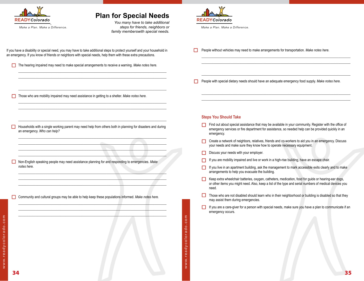![](_page_20_Picture_0.jpeg)

# **Plan for Special Needs**

*You many have to take additional steps for friends, neighbors or family memberswith special needs.*

If you have a disability or special need, you may have to take additional steps to protect yourself and your household in an emergency. If you know of friends or neighbors with special needs, help them with these extra precautions.

The hearing impaired may need to make special arrangements to receive a warning. *Make notes here.* 

\_\_\_\_\_\_\_\_\_\_\_\_\_\_\_\_\_\_\_\_\_\_\_\_\_\_\_\_\_\_\_\_\_\_\_\_\_\_\_\_\_\_\_\_\_\_\_\_\_\_\_\_\_\_\_\_\_\_\_\_\_\_\_\_\_\_\_\_\_\_\_\_\_\_\_\_\_\_\_\_\_\_\_\_\_\_\_ \_\_\_\_\_\_\_\_\_\_\_\_\_\_\_\_\_\_\_\_\_\_\_\_\_\_\_\_\_\_\_\_\_\_\_\_\_\_\_\_\_\_\_\_\_\_\_\_\_\_\_\_\_\_\_\_\_\_\_\_\_\_\_\_\_\_\_\_\_\_\_\_\_\_\_\_\_\_\_\_\_\_\_\_\_\_\_ \_\_\_\_\_\_\_\_\_\_\_\_\_\_\_\_\_\_\_\_\_\_\_\_\_\_\_\_\_\_\_\_\_\_\_\_\_\_\_\_\_\_\_\_\_\_\_\_\_\_\_\_\_\_\_\_\_\_\_\_\_\_\_\_\_\_\_\_\_\_\_\_\_\_\_\_\_\_\_\_\_\_\_\_\_\_\_  $\_$  , and the set of the set of the set of the set of the set of the set of the set of the set of the set of the set of the set of the set of the set of the set of the set of the set of the set of the set of the set of th

 $\bot$  , and the set of the set of the set of the set of the set of the set of the set of the set of the set of the set of the set of the set of the set of the set of the set of the set of the set of the set of the set of t

\_\_\_\_\_\_\_\_\_\_\_\_\_\_\_\_\_\_\_\_\_\_\_\_\_\_\_\_\_\_\_\_\_\_\_\_\_\_\_\_\_\_\_\_\_\_\_\_\_\_\_\_\_\_\_\_\_\_\_\_\_\_\_\_\_\_\_\_\_\_\_\_\_\_\_\_\_\_\_\_\_\_\_\_\_\_\_

 $\bot$  , and the contribution of the contribution of the contribution of the contribution of the contribution of the contribution of the contribution of the contribution of the contribution of the contribution of the contri  $\_\_\_\_\_\_\_\_\_\_\_\_\_$ \_\_\_\_\_\_\_\_\_\_\_\_\_\_\_\_\_\_\_\_\_\_\_\_\_\_\_\_\_\_\_\_\_\_\_\_\_\_\_\_\_\_\_\_\_\_\_\_\_\_\_\_\_\_\_\_\_\_\_\_\_\_\_\_\_\_\_\_\_\_\_\_\_\_\_\_\_\_\_\_\_\_\_\_\_\_\_ \_\_\_\_\_\_\_\_\_\_\_\_\_\_\_\_\_\_\_\_\_\_\_\_\_\_\_\_\_\_\_\_\_\_\_\_\_\_\_\_\_\_\_\_\_\_\_\_\_\_\_\_\_\_\_\_\_\_\_\_\_\_\_\_\_\_\_\_\_\_\_\_\_\_\_\_\_\_\_\_\_\_\_\_\_\_\_

\_\_\_\_\_\_\_\_\_\_\_\_\_\_\_\_\_\_\_\_\_\_\_\_\_\_\_\_\_\_\_\_\_\_\_\_\_\_\_\_\_\_\_\_\_\_\_\_\_\_\_\_\_\_\_\_\_\_\_\_\_\_\_\_\_\_\_\_\_\_\_\_\_\_\_\_\_\_\_\_\_\_\_\_\_\_\_  $\_$  , and the set of the set of the set of the set of the set of the set of the set of the set of the set of the set of the set of the set of the set of the set of the set of the set of the set of the set of the set of th  $\bot$  , and the contribution of the contribution of the contribution of the contribution of the contribution of the contribution of the contribution of the contribution of the contribution of the contribution of the contri \_\_\_\_\_\_\_\_\_\_\_\_\_\_\_\_\_\_\_\_\_\_\_\_\_\_\_\_\_\_\_\_\_\_\_\_\_\_\_\_\_\_\_\_\_\_\_\_\_\_\_\_\_\_\_\_\_\_\_\_\_\_\_\_\_\_\_\_\_\_\_\_\_\_\_\_\_\_\_\_\_\_\_\_\_\_\_

\_\_\_\_\_\_\_\_\_\_\_\_\_\_\_\_\_\_\_\_\_\_\_\_\_\_\_\_\_\_\_\_\_\_\_\_\_\_\_\_\_\_\_\_\_\_\_\_\_\_\_\_\_\_\_\_\_\_\_\_\_\_\_\_\_\_\_\_\_\_\_\_\_\_\_\_\_\_\_\_\_\_\_\_\_\_\_ \_\_\_\_\_\_\_\_\_\_\_\_\_\_\_\_\_\_\_\_\_\_\_\_\_\_\_\_\_\_\_\_\_\_\_\_\_\_\_\_\_\_\_\_\_\_\_\_\_\_\_\_\_\_\_\_\_\_\_\_\_\_\_\_\_\_\_\_\_\_\_\_\_\_\_\_\_\_\_\_\_\_\_\_\_\_\_  $\bot$  , and the contribution of the contribution of the contribution of the contribution of the contribution of the contribution of the contribution of the contribution of the contribution of the contribution of the contri \_\_\_\_\_\_\_\_\_\_\_\_\_\_\_\_\_\_\_\_\_\_\_\_\_\_\_\_\_\_\_\_\_\_\_\_\_\_\_\_\_\_\_\_\_\_\_\_\_\_\_\_\_\_\_\_\_\_\_\_\_\_\_\_\_\_\_\_\_\_\_\_\_\_\_\_\_\_\_\_\_\_\_\_\_\_\_

Those who are mobility impaired may need assistance in getting to a shelter. Make notes here.

- $\Box$ Households with a single working parent may need help from others both in planning for disasters and during an emergency. *Who can help?*
- Non-English speaking people may need assistance planning for and responding to emergencies. *Make*  П *notes here.*
- Community and cultural groups may be able to help keep these populations informed. *Make notes here.*
- 

w w w. r e a d y c o l o r a d o . c o m

www.readycolorado.com

![](_page_20_Picture_10.jpeg)

*Make a Plan. Make a Difference.*

People without vehicles may need to make arrangements for transportation. *Make notes here.*

People with special dietary needs should have an adequate emergency food supply. Make notes here.

 $\_$  ,  $\_$  ,  $\_$  ,  $\_$  ,  $\_$  ,  $\_$  ,  $\_$  ,  $\_$  ,  $\_$  ,  $\_$  ,  $\_$  ,  $\_$  ,  $\_$  ,  $\_$  ,  $\_$  ,  $\_$  ,  $\_$  ,  $\_$  ,  $\_$  ,  $\_$  $\_$  ,  $\_$  ,  $\_$  ,  $\_$  ,  $\_$  ,  $\_$  ,  $\_$  ,  $\_$  ,  $\_$  ,  $\_$  ,  $\_$  ,  $\_$  ,  $\_$  ,  $\_$  ,  $\_$  ,  $\_$  ,  $\_$  ,  $\_$  ,  $\_$  ,  $\_$  $\_$  , and the set of the set of the set of the set of the set of the set of the set of the set of the set of the set of the set of the set of the set of the set of the set of the set of the set of the set of the set of th  $\_$  , and the set of the set of the set of the set of the set of the set of the set of the set of the set of the set of the set of the set of the set of the set of the set of the set of the set of the set of the set of th

 $\_$  , and the set of the set of the set of the set of the set of the set of the set of the set of the set of the set of the set of the set of the set of the set of the set of the set of the set of the set of the set of th  $\_$  ,  $\_$  ,  $\_$  ,  $\_$  ,  $\_$  ,  $\_$  ,  $\_$  ,  $\_$  ,  $\_$  ,  $\_$  ,  $\_$  ,  $\_$  ,  $\_$  ,  $\_$  ,  $\_$  ,  $\_$  ,  $\_$  ,  $\_$  ,  $\_$  ,  $\_$  $\_$  ,  $\_$  ,  $\_$  ,  $\_$  ,  $\_$  ,  $\_$  ,  $\_$  ,  $\_$  ,  $\_$  ,  $\_$  ,  $\_$  ,  $\_$  ,  $\_$  ,  $\_$  ,  $\_$  ,  $\_$  ,  $\_$  ,  $\_$  ,  $\_$  ,  $\_$  $\_$  , and the set of the set of the set of the set of the set of the set of the set of the set of the set of the set of the set of the set of the set of the set of the set of the set of the set of the set of the set of th

#### **Steps You Should Take**

- Find out about special assistance that may be available in your community. Register with the office of emergency services or fire department for assistance, so needed help can be provided quickly in an emergency.
- Create a network of neighbors, relatives, friends and co-workers to aid you in an emergency. Discuss your needs and make sure they know how to operate necessary equipment.
- Discuss your needs with your employer.
- If you are mobility impaired and live or work in a high-rise building, have an escape chair.
- $\Box$  If you live in an apartment building, ask the management to mark accessible exits clearly and to make arrangements to help you evacuate the building.
- Keep extra wheelchair batteries, oxygen, catheters, medication, food for quide or hearing-ear dogs, or other items you might need. Also, keep a list of the type and serial numbers of medical devices you need.
- Those who are not disabled should learn who in their neighborhood or building is disabled so that they may assist them during emergencies.
- If you are a care-giver for a person with special needs, make sure you have a plan to communicate if an emergency occurs.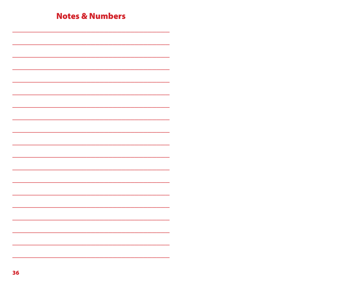| <b>Notes &amp; Numbers</b> |  |  |
|----------------------------|--|--|
|                            |  |  |
|                            |  |  |
|                            |  |  |
|                            |  |  |
|                            |  |  |
|                            |  |  |
|                            |  |  |
|                            |  |  |
|                            |  |  |
|                            |  |  |
|                            |  |  |
|                            |  |  |
|                            |  |  |
|                            |  |  |
|                            |  |  |